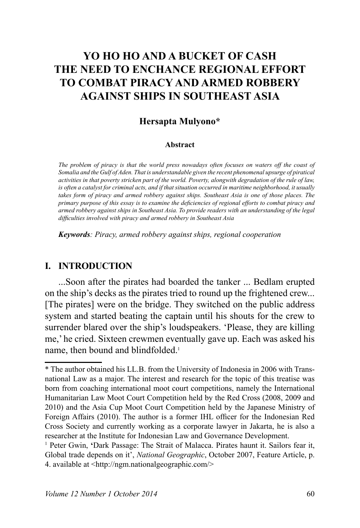# **YO HO HO AND A BUCKET OF CASH THE NEED TO ENCHANCE REGIONAL EFFORT TO COMBAT PIRACY AND ARMED ROBBERY AGAINST SHIPS IN SOUTHEAST ASIA**

### **Hersapta Mulyono\***

#### **Abstract**

*The problem of piracy is that the world press nowadays often focuses on waters off the coast of*  Somalia and the Gulf of Aden. That is understandable given the recent phenomenal upsurge of piratical *activities in that poverty stricken part of the world. Poverty, alongwith degradation of the rule of law, is often a catalyst for criminal acts, and if that situation occurred in maritime neighborhood, it usually*  takes form of piracy and armed robbery against ships. Southeast Asia is one of those places. The primary purpose of this essay is to examine the deficiencies of regional efforts to combat piracy and *differential robbery against ships in Southeast Asia. To provide readers with an understanding of the legal* difficulties involved with piracy and armed robbery in Southeast Asia

*Keywords: Piracy, armed robbery against ships, regional cooperation* 

### **I. INTRODUCTION**

...Soon after the pirates had boarded the tanker ... Bedlam erupted on the ship's decks as the pirates tried to round up the frightened crew... [The pirates] were on the bridge. They switched on the public address system and started beating the captain until his shouts for the crew to surrender blared over the ship's loudspeakers. 'Please, they are killing me,' he cried. Sixteen crewmen eventually gave up. Each was asked his name, then bound and blindfolded.<sup>1</sup>

<sup>\*</sup> The author obtained his LL.B. from the University of Indonesia in 2006 with Transnational Law as a major. The interest and research for the topic of this treatise was born from coaching international moot court competitions, namely the International Humanitarian Law Moot Court Competition held by the Red Cross (2008, 2009 and 2010) and the Asia Cup Moot Court Competition held by the Japanese Ministry of Foreign Affairs (2010). The author is a former IHL officer for the Indonesian Red Cross Society and currently working as a corporate lawyer in Jakarta, he is also a researcher at the Institute for Indonesian Law and Governance Development.

<sup>&</sup>lt;sup>1</sup> Peter Gwin, 'Dark Passage: The Strait of Malacca. Pirates haunt it. Sailors fear it, Global trade depends on it', *National Geographic*, October 2007, Feature Article, p. 4. available at  $\langle \text{http://ngm.nationalgeographic.com/}\rangle$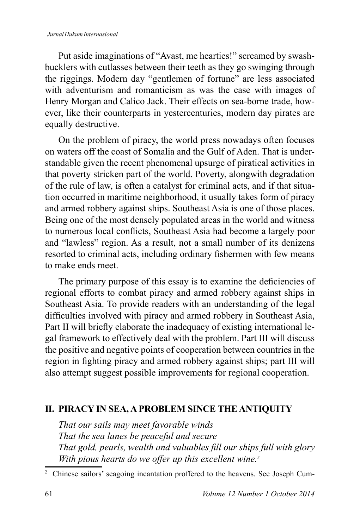#### *Jurnal Hukum Internasional*

Put aside imaginations of "Avast, me hearties!" screamed by swashbucklers with cutlasses between their teeth as they go swinging through the riggings. Modern day "gentlemen of fortune" are less associated with adventurism and romanticism as was the case with images of Henry Morgan and Calico Jack. Their effects on sea-borne trade, however, like their counterparts in yestercenturies, modern day pirates are equally destructive.

On the problem of piracy, the world press nowadays often focuses on waters off the coast of Somalia and the Gulf of Aden. That is understandable given the recent phenomenal upsurge of piratical activities in that poverty stricken part of the world. Poverty, alongwith degradation of the rule of law, is often a catalyst for criminal acts, and if that situation occurred in maritime neighborhood, it usually takes form of piracy and armed robbery against ships. Southeast Asia is one of those places. Being one of the most densely populated areas in the world and witness to numerous local conflicts. Southeast Asia had become a largely poor and "lawless" region. As a result, not a small number of its denizens resorted to criminal acts, including ordinary fishermen with few means to make ends meet.

The primary purpose of this essay is to examine the deficiencies of regional efforts to combat piracy and armed robbery against ships in Southeast Asia. To provide readers with an understanding of the legal difficulties involved with piracy and armed robbery in Southeast Asia, Part II will briefly elaborate the inadequacy of existing international legal framework to effectively deal with the problem. Part III will discuss the positive and negative points of cooperation between countries in the region in fighting piracy and armed robbery against ships; part III will also attempt suggest possible improvements for regional cooperation.

## **II. PIRACY IN SEA, A PROBLEM SINCE THE ANTIQUITY**

*That our sails may meet favorable winds That the sea lanes be peaceful and secure That gold, pearls, wealth and valuables fill our ships full with glory With pious hearts do we offer up this excellent wine.<sup>2</sup>* 

<sup>&</sup>lt;sup>2</sup> Chinese sailors' seagoing incantation proffered to the heavens. See Joseph Cum-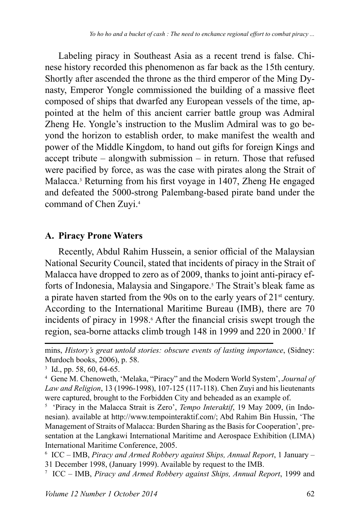Labeling piracy in Southeast Asia as a recent trend is false. Chinese history recorded this phenomenon as far back as the 15th century. Shortly after ascended the throne as the third emperor of the Ming Dynasty, Emperor Yongle commissioned the building of a massive fleet composed of ships that dwarfed any European vessels of the time, appointed at the helm of this ancient carrier battle group was Admiral Zheng He. Yongle's instruction to the Muslim Admiral was to go beyond the horizon to establish order, to make manifest the wealth and power of the Middle Kingdom, to hand out gifts for foreign Kings and accept tribute  $-$  alongwith submission  $-$  in return. Those that refused were pacified by force, as was the case with pirates along the Strait of Malacca.<sup>3</sup> Returning from his first voyage in 1407, Zheng He engaged and defeated the 5000-strong Palembang-based pirate band under the command of Chen Zuyi.<sup>4</sup>

## **A. Piracy Prone Waters**

Recently, Abdul Rahim Hussein, a senior official of the Malaysian National Security Council, stated that incidents of piracy in the Strait of Malacca have dropped to zero as of 2009, thanks to joint anti-piracy efforts of Indonesia, Malaysia and Singapore. The Strait's bleak fame as a pirate haven started from the 90s on to the early years of  $21<sup>st</sup>$  century. According to the International Maritime Bureau (IMB), there are 70 incidents of piracy in 1998.<sup>6</sup> After the financial crisis swept trough the region, sea-borne attacks climb trough 148 in 1999 and 220 in 2000.<sup>7</sup> If

mins, *History's great untold stories: obscure events of lasting importance*, (Sidney: Murdoch books, 2006), p. 58.

 $3$  Id., pp. 58, 60, 64-65.

<sup>4</sup> Gene M. Chenoweth, 'Melaka, "Piracy" and the Modern World System', *Journal of*  Law and Religion, 13 (1996-1998), 107-125 (117-118). Chen Zuyi and his lieutenants were captured, brought to the Forbidden City and beheaded as an example of.

<sup>&</sup>lt;sup>5</sup> 'Piracy in the Malacca Strait is Zero', *Tempo Interaktif*, 19 May 2009, (in Indonesian). available at http://www.tempointeraktif.com/; Abd Rahim Bin Hussin, 'The Management of Straits of Malacca: Burden Sharing as the Basis for Cooperation', presentation at the Langkawi International Maritime and Aerospace Exhibition (LIMA) International Maritime Conference, 2005.

<sup>&</sup>lt;sup>6</sup> ICC – IMB, Piracy and Armed Robbery against Ships, Annual Report, 1 January – 31 December 1998, (January 1999). Available by request to the IMB.

<sup>&</sup>lt;sup>7</sup> ICC – IMB, Piracy and Armed Robbery against Ships, Annual Report, 1999 and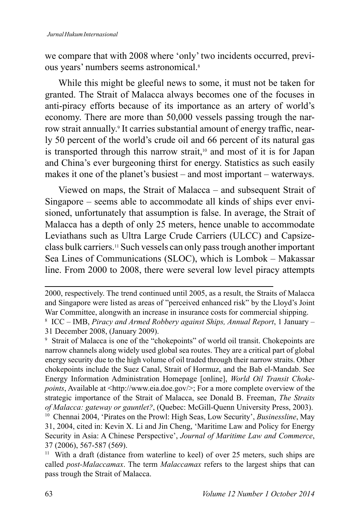we compare that with 2008 where 'only' two incidents occurred, previous years' numbers seems astronomical.<sup>8</sup>

While this might be gleeful news to some, it must not be taken for granted. The Strait of Malacca always becomes one of the focuses in anti-piracy efforts because of its importance as an artery of world's economy. There are more than 50,000 vessels passing trough the narrow strait annually.<sup>9</sup> It carries substantial amount of energy traffic, nearly 50 percent of the world's crude oil and 66 percent of its natural gas is transported through this narrow strait, $10$  and most of it is for Japan and China's ever burgeoning thirst for energy. Statistics as such easily makes it one of the planet's busiest  $-$  and most important  $-$  waterways.

Viewed on maps, the Strait of Malacca – and subsequent Strait of Singapore – seems able to accommodate all kinds of ships ever envisioned, unfortunately that assumption is false. In average, the Strait of Malacca has a depth of only 25 meters, hence unable to accommodate Leviathans such as Ultra Large Crude Carriers (ULCC) and Capsizeclass bulk carriers.11 Such vessels can only pass trough another important Sea Lines of Communications (SLOC), which is Lombok - Makassar line. From 2000 to 2008, there were several low level piracy attempts

<sup>2000,</sup> respectively. The trend continued until 2005, as a result, the Straits of Malacca and Singapore were listed as areas of "perceived enhanced risk" by the Lloyd's Joint War Committee, alongwith an increase in insurance costs for commercial shipping.

<sup>&</sup>lt;sup>8</sup> ICC – IMB, Piracy and Armed Robbery against Ships, Annual Report, 1 January – 31 December 2008, (January 2009).

<sup>9</sup> Strait of Malacca is one of the "chokepoints" of world oil transit. Chokepoints are narrow channels along widely used global sea routes. They are a critical part of global energy security due to the high volume of oil traded through their narrow straits. Other chokepoints include the Suez Canal, Strait of Hormuz, and the Bab el-Mandab. See Energy Information Administration Homepage [online], World Oil Transit Choke*points*, Available at <http://www.eia.doe.gov/>; For a more complete overview of the strategic importance of the Strait of Malacca, see Donald B. Freeman, *The Straits of Malacca: gateway or gauntlet?*, (Quebec: McGill-Quenn University Press, 2003).

<sup>&</sup>lt;sup>10</sup> Chennai 2004, 'Pirates on the Prowl: High Seas, Low Security', *Businessline*, May 31, 2004, cited in: Kevin X. Li and Jin Cheng, 'Maritime Law and Policy for Energy Security in Asia: A Chinese Perspective', *Journal of Maritime Law and Commerce*, 37 (2006), 567-587 (569).

<sup>&</sup>lt;sup>11</sup> With a draft (distance from waterline to keel) of over 25 meters, such ships are called *post-Malaccamax*. The term *Malaccamax* refers to the largest ships that can pass trough the Strait of Malacca.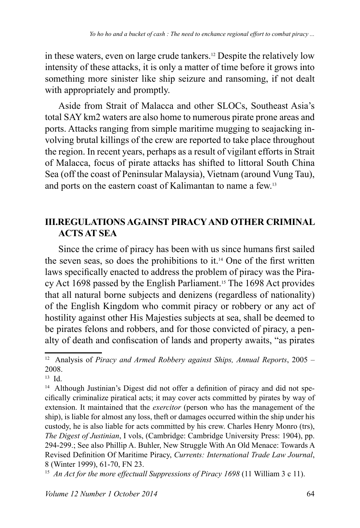in these waters, even on large crude tankers.<sup>12</sup> Despite the relatively low intensity of these attacks, it is only a matter of time before it grows into something more sinister like ship seizure and ransoming, if not dealt with appropriately and promptly.

Aside from Strait of Malacca and other SLOCs, Southeast Asia's total SAY km2 waters are also home to numerous pirate prone areas and ports. Attacks ranging from simple maritime mugging to seajacking involving brutal killings of the crew are reported to take place throughout the region. In recent years, perhaps as a result of vigilant efforts in Strait of Malacca, focus of pirate attacks has shifted to littoral South China Sea (off the coast of Peninsular Malaysia), Vietnam (around Vung Tau), and ports on the eastern coast of Kalimantan to name a few.<sup>13</sup>

## **III.REGULATIONS AGAINST PIRACY AND OTHER CRIMINAL ACTS AT SEA**

Since the crime of piracy has been with us since humans first sailed the seven seas, so does the prohibitions to it.<sup>14</sup> One of the first written laws specifically enacted to address the problem of piracy was the Piracy Act 1698 passed by the English Parliament.<sup>15</sup> The 1698 Act provides that all natural borne subjects and denizens (regardless of nationality) of the English Kingdom who commit piracy or robbery or any act of hostility against other His Majesties subjects at sea, shall be deemed to be pirates felons and robbers, and for those convicted of piracy, a penalty of death and confiscation of lands and property awaits, "as pirates

<sup>&</sup>lt;sup>12</sup> Analysis of *Piracy and Armed Robbery against Ships, Annual Reports, 2005 –* 2008.

 $13 \text{ Id}$ 

<sup>&</sup>lt;sup>14</sup> Although Justinian's Digest did not offer a definition of piracy and did not specifically criminalize piratical acts; it may cover acts committed by pirates by way of extension. It maintained that the *exercitor* (person who has the management of the ship), is liable for almost any loss, theft or damages occurred within the ship under his custody, he is also liable for acts committed by his crew. Charles Henry Monro (trs), *The Digest of Justinian*, I vols, (Cambridge: Cambridge University Press: 1904), pp. 294-299.; See also Phillip A. Buhler, New Struggle With An Old Menace: Towards A Revised Definition Of Maritime Piracy, Currents: International Trade Law Journal, 8 (Winter 1999), 61-70, FN 23.

<sup>&</sup>lt;sup>15</sup> An Act for the more effectuall Suppressions of Piracy 1698 (11 William 3 c 11).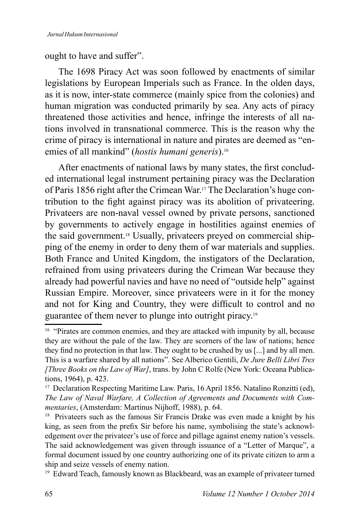ought to have and suffer".

The 1698 Piracy Act was soon followed by enactments of similar legislations by European Imperials such as France. In the olden days, as it is now, inter-state commerce (mainly spice from the colonies) and human migration was conducted primarily by sea. Any acts of piracy threatened those activities and hence, infringe the interests of all nations involved in transnational commerce. This is the reason why the crime of piracy is international in nature and pirates are deemed as "enemies of all mankind" (*hostis humani generis*).<sup>16</sup>

After enactments of national laws by many states, the first concluded international legal instrument pertaining piracy was the Declaration of Paris 1856 right after the Crimean War.<sup>17</sup> The Declaration's huge contribution to the fight against piracy was its abolition of privateering. Privateers are non-naval vessel owned by private persons, sanctioned by governments to actively engage in hostilities against enemies of the said government.18 Usually, privateers preyed on commercial shipping of the enemy in order to deny them of war materials and supplies. Both France and United Kingdom, the instigators of the Declaration, refrained from using privateers during the Crimean War because they already had powerful navies and have no need of "outside help" against Russian Empire. Moreover, since privateers were in it for the money and not for King and Country, they were difficult to control and no guarantee of them never to plunge into outright piracy.<sup>19</sup>

<sup>&</sup>lt;sup>16</sup> "Pirates are common enemies, and they are attacked with impunity by all, because they are without the pale of the law. They are scorners of the law of nations; hence they find no protection in that law. They ought to be crushed by us [...] and by all men. This is a warfare shared by all nations". See Alberico Gentili, *De Jure Belli Libri Tres (Three Books on the Law of War]*, trans. by John C Rolfe (New York: Oceana Publications, 1964), p. 423.

<sup>&</sup>lt;sup>17</sup> Declaration Respecting Maritime Law. Paris, 16 April 1856. Natalino Ronzitti (ed), The Law of Naval Warfare, A Collection of Agreements and Documents with Com*mentaries*, (Amsterdam: Martinus Nijhoff, 1988), p. 64.

<sup>&</sup>lt;sup>18</sup> Privateers such as the famous Sir Francis Drake was even made a knight by his king, as seen from the prefix Sir before his name, symbolising the state's acknowledgement over the privateer's use of force and pillage against enemy nation's vessels. The said acknowledgement was given through issuance of a "Letter of Marque", a formal document issued by one country authorizing one of its private citizen to arm a ship and seize vessels of enemy nation.

<sup>&</sup>lt;sup>19</sup> Edward Teach, famously known as Blackbeard, was an example of privateer turned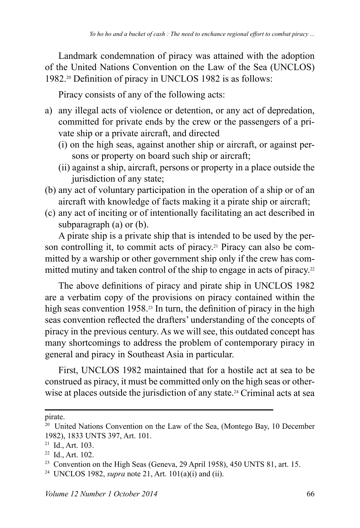Landmark condemnation of piracy was attained with the adoption of the United Nations Convention on the Law of the Sea (UNCLOS) 1982.<sup>20</sup> Definition of piracy in UNCLOS 1982 is as follows:

Piracy consists of any of the following acts:

- a) any illegal acts of violence or detention, or any act of depredation, committed for private ends by the crew or the passengers of a private ship or a private aircraft, and directed
	- (i) on the high seas, against another ship or aircraft, or against persons or property on board such ship or aircraft;
	- (ii) against a ship, aircraft, persons or property in a place outside the jurisdiction of any state;
- (b) any act of voluntary participation in the operation of a ship or of an aircraft with knowledge of facts making it a pirate ship or aircraft;
- (c) any act of inciting or of intentionally facilitating an act described in subparagraph (a) or (b).

A pirate ship is a private ship that is intended to be used by the person controlling it, to commit acts of piracy.<sup>21</sup> Piracy can also be committed by a warship or other government ship only if the crew has committed mutiny and taken control of the ship to engage in acts of piracy.<sup>22</sup>

The above definitions of piracy and pirate ship in UNCLOS 1982 are a verbatim copy of the provisions on piracy contained within the high seas convention 1958.<sup>23</sup> In turn, the definition of piracy in the high seas convention reflected the drafters' understanding of the concepts of piracy in the previous century. As we will see, this outdated concept has many shortcomings to address the problem of contemporary piracy in general and piracy in Southeast Asia in particular.

First, UNCLOS 1982 maintained that for a hostile act at sea to be construed as piracy, it must be committed only on the high seas or otherwise at places outside the jurisdiction of any state.<sup>24</sup> Criminal acts at sea

pirate.

<sup>&</sup>lt;sup>20</sup> United Nations Convention on the Law of the Sea, (Montego Bay, 10 December 1982), 1833 UNTS 397, Art. 101.

 $21$  Id., Art. 103.

 $22$  Id., Art. 102.

<sup>&</sup>lt;sup>23</sup> Convention on the High Seas (Geneva, 29 April 1958), 450 UNTS 81, art. 15.

<sup>&</sup>lt;sup>24</sup> UNCLOS 1982, *supra* note 21, Art.  $101(a)(i)$  and (ii).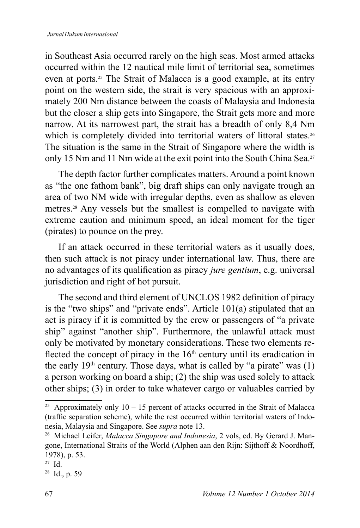in Southeast Asia occurred rarely on the high seas. Most armed attacks occurred within the 12 nautical mile limit of territorial sea, sometimes even at ports.<sup>25</sup> The Strait of Malacca is a good example, at its entry point on the western side, the strait is very spacious with an approximately 200 Nm distance between the coasts of Malaysia and Indonesia but the closer a ship gets into Singapore, the Strait gets more and more narrow. At its narrowest part, the strait has a breadth of only 8,4 Nm which is completely divided into territorial waters of littoral states.<sup>26</sup> The situation is the same in the Strait of Singapore where the width is only 15 Nm and 11 Nm wide at the exit point into the South China Sea.<sup>27</sup>

The depth factor further complicates matters. Around a point known as "the one fathom bank", big draft ships can only navigate trough an area of two NM wide with irregular depths, even as shallow as eleven metres.<sup>28</sup> Any vessels but the smallest is compelled to navigate with extreme caution and minimum speed, an ideal moment for the tiger (pirates) to pounce on the prey.

If an attack occurred in these territorial waters as it usually does, then such attack is not piracy under international law. Thus, there are no advantages of its qualification as piracy *jure gentium*, e.g. universal jurisdiction and right of hot pursuit.

The second and third element of UNCLOS 1982 definition of piracy is the "two ships" and "private ends". Article 101(a) stipulated that an act is piracy if it is committed by the crew or passengers of "a private ship" against "another ship". Furthermore, the unlawful attack must only be motivated by monetary considerations. These two elements re flected the concept of piracy in the  $16<sup>th</sup>$  century until its eradication in the early  $19<sup>th</sup>$  century. Those days, what is called by "a pirate" was (1) a person working on board a ship;  $(2)$  the ship was used solely to attack other ships; (3) in order to take whatever cargo or valuables carried by

<sup>&</sup>lt;sup>25</sup> Approximately only 10 – 15 percent of attacks occurred in the Strait of Malacca (traffic separation scheme), while the rest occurred within territorial waters of Indonesia, Malaysia and Singapore. See *supra* note 13.

<sup>&</sup>lt;sup>26</sup> Michael Leifer, *Malacca Singapore and Indonesia*, 2 vols, ed. By Gerard J. Mangone, International Straits of the World (Alphen aan den Rijn: Sijthoff & Noordhoff, 1978), p. 53.

 $27$  Id.

 $28$  Id., p. 59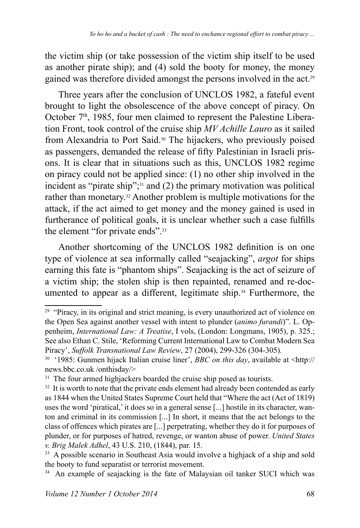the victim ship (or take possession of the victim ship itself to be used as another pirate ship); and (4) sold the booty for money, the money gained was therefore divided amongst the persons involved in the act.

Three vears after the conclusion of UNCLOS 1982, a fateful event brought to light the obsolescence of the above concept of piracy. On October  $7<sup>th</sup>$ , 1985, four men claimed to represent the Palestine Liberation Front, took control of the cruise ship *MV Achille Lauro* as it sailed from Alexandria to Port Said.30 The hijackers, who previously poised as passengers, demanded the release of fifty Palestinian in Israeli prisons. It is clear that in situations such as this, UNCLOS 1982 regime on piracy could not be applied since: (1) no other ship involved in the incident as "pirate ship"; $31$  and (2) the primary motivation was political rather than monetary.<sup>32</sup> Another problem is multiple motivations for the attack, if the act aimed to get money and the money gained is used in furtherance of political goals, it is unclear whether such a case fulfills the element "for private ends".<sup>33</sup>

Another shortcoming of the UNCLOS 1982 definition is on one type of violence at sea informally called "seajacking", *argot* for ships earning this fate is "phantom ships". Seajacking is the act of seizure of a victim ship; the stolen ship is then repainted, renamed and re-documented to appear as a different, legitimate ship.<sup>34</sup> Furthermore, the

<sup>&</sup>lt;sup>29</sup> "Piracy, in its original and strict meaning, is every unauthorized act of violence on the Open Sea against another vessel with intent to plunder (*animo furandi*)". L. Oppenheim, *International Law: A Treatise*, I vols, (London: Longmans, 1905), p. 325.; See also Ethan C. Stile, 'Reforming Current International Law to Combat Modern Sea Piracy', *Suffolk Transnational Law Review*, 27 (2004), 299-326 (304-305).

<sup>&</sup>lt;sup>30</sup> '1985: Gunmen hijack Italian cruise liner', *BBC on this day*, available at <http:// news.bbc.co.uk/onthisday/>

<sup>&</sup>lt;sup>31</sup> The four armed highjackers boarded the cruise ship posed as tourists.

 $32$  It is worth to note that the private ends element had already been contended as early as 1844 when the United States Supreme Court held that "Where the act (Act of 1819) uses the word 'piratical,' it does so in a general sense [...] hostile in its character, wanton and criminal in its commission [...] In short, it means that the act belongs to the class of offences which pirates are [...] perpetrating, whether they do it for purposes of plunder, or for purposes of hatred, revenge, or wanton abuse of power. *United States v. Brig Malek Adhel*, 43 U.S. 210, (1844), par. 15.

<sup>&</sup>lt;sup>33</sup> A possible scenario in Southeast Asia would involve a highjack of a ship and sold the booty to fund separatist or terrorist movement.

<sup>&</sup>lt;sup>34</sup> An example of seajacking is the fate of Malaysian oil tanker SUCI which was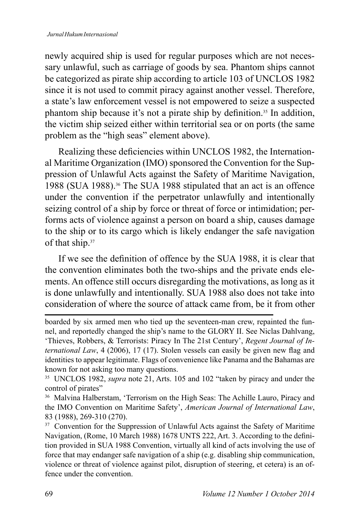newly acquired ship is used for regular purposes which are not necessary unlawful, such as carriage of goods by sea. Phantom ships cannot be categorized as pirate ship according to article 103 of UNCLOS 1982 since it is not used to commit piracy against another vessel. Therefore, a state's law enforcement vessel is not empowered to seize a suspected phantom ship because it's not a pirate ship by definition.<sup>35</sup> In addition, the victim ship seized either within territorial sea or on ports (the same problem as the "high seas" element above).

Realizing these deficiencies within UNCLOS 1982, the International Maritime Organization (IMO) sponsored the Convention for the Suppression of Unlawful Acts against the Safety of Maritime Navigation, 1988 (SUA 1988).36 The SUA 1988 stipulated that an act is an offence under the convention if the perpetrator unlawfully and intentionally seizing control of a ship by force or threat of force or intimidation; performs acts of violence against a person on board a ship, causes damage to the ship or to its cargo which is likely endanger the safe navigation of that ship.<sup>37</sup>

If we see the definition of offence by the SUA 1988, it is clear that the convention eliminates both the two-ships and the private ends elements. An offence still occurs disregarding the motivations, as long as it is done unlawfully and intentionally. SUA 1988 also does not take into consideration of where the source of attack came from, be it from other

boarded by six armed men who tied up the seventeen-man crew, repainted the funnel, and reportedly changed the ship's name to the GLORY II. See Niclas Dahlvang, 'Thieves, Robbers, & Terrorists: Piracy In The 21st Century', Regent Journal of International Law, 4 (2006), 17 (17). Stolen vessels can easily be given new flag and identities to appear legitimate. Flags of convenience like Panama and the Bahamas are known for not asking too many questions.

<sup>&</sup>lt;sup>35</sup> UNCLOS 1982, *supra* note 21, Arts. 105 and 102 "taken by piracy and under the control of pirates"

<sup>36</sup> Malvina Halberstam, 'Terrorism on the High Seas: The Achille Lauro, Piracy and the IMO Convention on Maritime Safety', *American Journal of International Law*, 83 (1988), 269-310 (270).

<sup>&</sup>lt;sup>37</sup> Convention for the Suppression of Unlawful Acts against the Safety of Maritime Navigation, (Rome, 10 March 1988) 1678 UNTS 222, Art. 3. According to the definition provided in SUA 1988 Convention, virtually all kind of acts involving the use of force that may endanger safe navigation of a ship (e.g. disabling ship communication, violence or threat of violence against pilot, disruption of steering, et cetera) is an offence under the convention.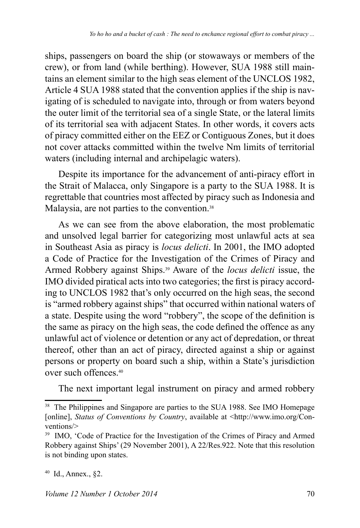ships, passengers on board the ship (or stowaways or members of the crew), or from land (while berthing). However, SUA 1988 still maintains an element similar to the high seas element of the UNCLOS 1982, Article 4 SUA 1988 stated that the convention applies if the ship is navigating of is scheduled to navigate into, through or from waters beyond the outer limit of the territorial sea of a single State, or the lateral limits of its territorial sea with adjacent States. In other words, it covers acts of piracy committed either on the EEZ or Contiguous Zones, but it does not cover attacks committed within the twelve Nm limits of territorial waters (including internal and archipelagic waters).

Despite its importance for the advancement of anti-piracy effort in the Strait of Malacca, only Singapore is a party to the SUA 1988. It is regrettable that countries most affected by piracy such as Indonesia and Malaysia, are not parties to the convention.<sup>38</sup>

As we can see from the above elaboration, the most problematic and unsolved legal barrier for categorizing most unlawful acts at sea in Southeast Asia as piracy is *locus delicti*. In 2001, the IMO adopted a Code of Practice for the Investigation of the Crimes of Piracy and Armed Robbery against Ships.39 Aware of the *locus delicti* issue, the IMO divided piratical acts into two categories; the first is piracy according to UNCLOS 1982 that's only occurred on the high seas, the second is "armed robbery against ships" that occurred within national waters of a state. Despite using the word "robbery", the scope of the definition is the same as piracy on the high seas, the code defined the offence as any unlawful act of violence or detention or any act of depredation, or threat thereof, other than an act of piracy, directed against a ship or against persons or property on board such a ship, within a State's jurisdiction over such offences.<sup>40</sup>

The next important legal instrument on piracy and armed robbery

<sup>&</sup>lt;sup>38</sup> The Philippines and Singapore are parties to the SUA 1988. See IMO Homepage [online], *Status of Conventions by Country*, available at <http://www.imo.org/Conventions/>

<sup>&</sup>lt;sup>39</sup> IMO, 'Code of Practice for the Investigation of the Crimes of Piracy and Armed Robbery against Ships' (29 November 2001), A 22/Res.922. Note that this resolution is not binding upon states.

 $40$  Id., Annex., §2.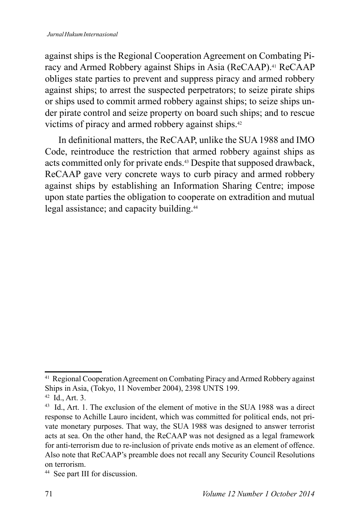against ships is the Regional Cooperation Agreement on Combating Piracy and Armed Robbery against Ships in Asia (ReCAAP).<sup>41</sup> ReCAAP obliges state parties to prevent and suppress piracy and armed robbery against ships; to arrest the suspected perpetrators; to seize pirate ships or ships used to commit armed robbery against ships; to seize ships under pirate control and seize property on board such ships; and to rescue victims of piracy and armed robbery against ships.<sup>42</sup>

In definitional matters, the ReCAAP, unlike the SUA 1988 and IMO Code, reintroduce the restriction that armed robbery against ships as acts committed only for private ends.43 Despite that supposed drawback, ReCAAP gave very concrete ways to curb piracy and armed robbery against ships by establishing an Information Sharing Centre; impose upon state parties the obligation to cooperate on extradition and mutual legal assistance; and capacity building.<sup>44</sup>

<sup>41</sup> Regional Cooperation Agreement on Combating Piracy and Armed Robbery against Ships in Asia, (Tokyo, 11 November 2004), 2398 UNTS 199.

 $42$  Id., Art. 3.

<sup>43</sup> Id., Art. 1. The exclusion of the element of motive in the SUA 1988 was a direct response to Achille Lauro incident, which was committed for political ends, not private monetary purposes. That way, the SUA 1988 was designed to answer terrorist acts at sea. On the other hand, the ReCAAP was not designed as a legal framework for anti-terrorism due to re-inclusion of private ends motive as an element of offence. Also note that ReCAAP's preamble does not recall any Security Council Resolutions on terrorism.

<sup>44</sup> See part III for discussion.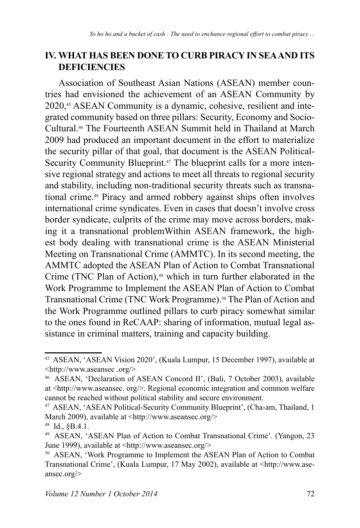## **IV. WHAT HAS BEEN DONE TO CURB PIRACY IN SEA AND ITS DEFICIENCIES**

Association of Southeast Asian Nations (ASEAN) member countries had envisioned the achievement of an ASEAN Community by 2020,<sup>45</sup> ASEAN Community is a dynamic, cohesive, resilient and integrated community based on three pillars: Security, Economy and Socio-Cultural.46 The Fourteenth ASEAN Summit held in Thailand at March 2009 had produced an important document in the effort to materialize the security pillar of that goal, that document is the ASEAN Political-Security Community Blueprint.<sup>47</sup> The blueprint calls for a more intensive regional strategy and actions to meet all threats to regional security and stability, including non-traditional security threats such as transnational crime.48 Piracy and armed robbery against ships often involves international crime syndicates. Even in cases that doesn't involve cross border syndicate, culprits of the crime may move across borders, making it a transnational problemWithin ASEAN framework, the highest body dealing with transnational crime is the ASEAN Ministerial Meeting on Transnational Crime (AMMTC). In its second meeting, the AMMTC adopted the ASEAN Plan of Action to Combat Transnational Crime (TNC Plan of Action),<sup>49</sup> which in turn further elaborated in the Work Programme to Implement the ASEAN Plan of Action to Combat Transnational Crime (TNC Work Programme).<sup>50</sup> The Plan of Action and the Work Programme outlined pillars to curb piracy somewhat similar to the ones found in ReCAAP: sharing of information, mutual legal assistance in criminal matters, training and capacity building.

<sup>&</sup>lt;sup>45</sup> ASEAN, 'ASEAN Vision 2020', (Kuala Lumpur, 15 December 1997), available at  $\langle \text{http://www.aseansec.org/>}\rangle$ 

<sup>&</sup>lt;sup>46</sup> ASEAN, 'Declaration of ASEAN Concord II', (Bali, 7 October 2003), available at  $\text{thttp://www.aseansec. org/>}$ . Regional economic integration and common welfare cannot be reached without political stability and secure environment.

<sup>47</sup> ASEAN, 'ASEAN Political-Security Community Blueprint', (Cha-am, Thailand, 1 March 2009), available at <http://www.aseansec.org/>

<sup>48</sup> Id., §B.4.1.

<sup>&</sup>lt;sup>49</sup> ASEAN, 'ASEAN Plan of Action to Combat Transnational Crime'. (Yangon, 23 June 1999), available at  $\langle \text{http://www.aseansec.org/>}$ 

<sup>&</sup>lt;sup>50</sup> ASEAN, 'Work Programme to Implement the ASEAN Plan of Action to Combat Transnational Crime', (Kuala Lumpur, 17 May 2002), available at <http://www.aseansec.org/>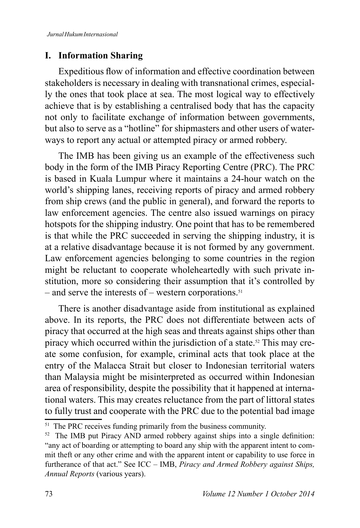## **I. Information Sharing**

Expeditious flow of information and effective coordination between stakeholders is necessary in dealing with transnational crimes, especially the ones that took place at sea. The most logical way to effectively achieve that is by establishing a centralised body that has the capacity not only to facilitate exchange of information between governments, but also to serve as a "hotline" for shipmasters and other users of waterways to report any actual or attempted piracy or armed robbery.

The IMB has been giving us an example of the effectiveness such body in the form of the IMB Piracy Reporting Centre (PRC). The PRC is based in Kuala Lumpur where it maintains a 24-hour watch on the world's shipping lanes, receiving reports of piracy and armed robbery from ship crews (and the public in general), and forward the reports to law enforcement agencies. The centre also issued warnings on piracy hotspots for the shipping industry. One point that has to be remembered is that while the PRC succeeded in serving the shipping industry, it is at a relative disadvantage because it is not formed by any government. Law enforcement agencies belonging to some countries in the region might be reluctant to cooperate wholeheartedly with such private institution, more so considering their assumption that it's controlled by  $-$  and serve the interests of  $-$  western corporations.<sup>51</sup>

There is another disadvantage aside from institutional as explained above. In its reports, the PRC does not differentiate between acts of piracy that occurred at the high seas and threats against ships other than piracy which occurred within the jurisdiction of a state.<sup>52</sup> This may create some confusion, for example, criminal acts that took place at the entry of the Malacca Strait but closer to Indonesian territorial waters than Malaysia might be misinterpreted as occurred within Indonesian area of responsibility, despite the possibility that it happened at international waters. This may creates reluctance from the part of littoral states to fully trust and cooperate with the PRC due to the potential bad image

<sup>&</sup>lt;sup>51</sup> The PRC receives funding primarily from the business community.

 $52$  The IMB put Piracy AND armed robbery against ships into a single definition: "any act of boarding or attempting to board any ship with the apparent intent to commit theft or any other crime and with the apparent intent or capability to use force in furtherance of that act." See ICC - IMB, Piracy and Armed Robbery against Ships, *Annual Reports* (various years).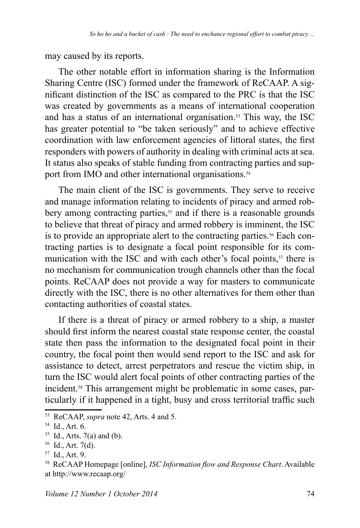may caused by its reports.

The other notable effort in information sharing is the Information Sharing Centre (ISC) formed under the framework of ReCAAP. A significant distinction of the ISC as compared to the PRC is that the ISC was created by governments as a means of international cooperation and has a status of an international organisation.<sup>53</sup> This way, the ISC has greater potential to "be taken seriously" and to achieve effective coordination with law enforcement agencies of littoral states, the first responders with powers of authority in dealing with criminal acts at sea. It status also speaks of stable funding from contracting parties and support from IMO and other international organisations.<sup>54</sup>

The main client of the ISC is governments. They serve to receive and manage information relating to incidents of piracy and armed robbery among contracting parties, $55$  and if there is a reasonable grounds to believe that threat of piracy and armed robbery is imminent, the ISC is to provide an appropriate alert to the contracting parties.<sup>56</sup> Each contracting parties is to designate a focal point responsible for its communication with the ISC and with each other's focal points, $57$  there is no mechanism for communication trough channels other than the focal points. ReCAAP does not provide a way for masters to communicate directly with the ISC, there is no other alternatives for them other than contacting authorities of coastal states.

If there is a threat of piracy or armed robbery to a ship, a master should first inform the nearest coastal state response center, the coastal state then pass the information to the designated focal point in their country, the focal point then would send report to the ISC and ask for assistance to detect, arrest perpetrators and rescue the victim ship, in turn the ISC would alert focal points of other contracting parties of the incident.<sup>58</sup> This arrangement might be problematic in some cases, particularly if it happened in a tight, busy and cross territorial traffic such

<sup>&</sup>lt;sup>53</sup> ReCAAP, *supra* note 42, Arts. 4 and 5.

 $54$  Id., Art. 6.

 $55$  Id., Arts. 7(a) and (b).

 $56$  Id., Art. 7(d).

<sup>&</sup>lt;sup>57</sup> Id., Art. 9.

<sup>&</sup>lt;sup>58</sup> ReCAAP Homepage [online], *ISC Information flow and Response Chart*. Available at http://www.recaap.org/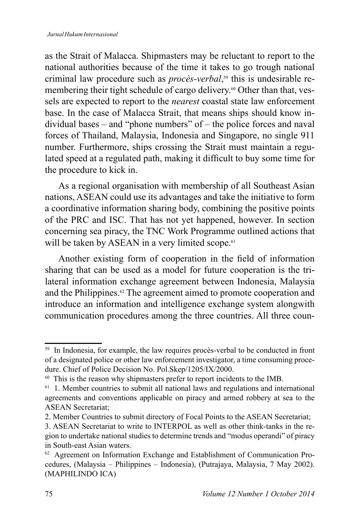as the Strait of Malacca. Shipmasters may be reluctant to report to the national authorities because of the time it takes to go trough national criminal law procedure such as *procès-verbal*, this is undesirable remembering their tight schedule of cargo delivery.<sup>60</sup> Other than that, vessels are expected to report to the *nearest* coastal state law enforcement base. In the case of Malacca Strait, that means ships should know individual bases – and "phone numbers" of – the police forces and naval forces of Thailand, Malaysia, Indonesia and Singapore, no single 911 number. Furthermore, ships crossing the Strait must maintain a regulated speed at a regulated path, making it difficult to buy some time for the procedure to kick in.

As a regional organisation with membership of all Southeast Asian nations, ASEAN could use its advantages and take the initiative to form a coordinative information sharing body, combining the positive points of the PRC and ISC. That has not yet happened, however. In section concerning sea piracy, the TNC Work Programme outlined actions that will be taken by ASEAN in a very limited scope.<sup>61</sup>

Another existing form of cooperation in the field of information sharing that can be used as a model for future cooperation is the trilateral information exchange agreement between Indonesia, Malaysia and the Philippines. $\mathscr{C}$  The agreement aimed to promote cooperation and introduce an information and intelligence exchange system alongwith communication procedures among the three countries. All three coun-

<sup>&</sup>lt;sup>59</sup> In Indonesia, for example, the law requires procès-verbal to be conducted in front of a designated police or other law enforcement investigator, a time consuming procedure. Chief of Police Decision No. Pol.Skep/1205/IX/2000.

<sup>&</sup>lt;sup>60</sup> This is the reason why shipmasters prefer to report incidents to the IMB.

<sup>61</sup> 1. Member countries to submit all national laws and regulations and international agreements and conventions applicable on piracy and armed robbery at sea to the ASEAN Secretariat;

<sup>2.</sup> Member Countries to submit directory of Focal Points to the ASEAN Secretariat;

<sup>3.</sup> ASEAN Secretariat to write to INTERPOL as well as other think-tanks in the region to undertake national studies to determine trends and "modus operandi" of piracy in South-east Asian waters.

<sup>&</sup>lt;sup>62</sup> Agreement on Information Exchange and Establishment of Communication Procedures, (Malaysia – Philippines – Indonesia), (Putrajaya, Malaysia, 7 May 2002). (MAPHILINDO ICA)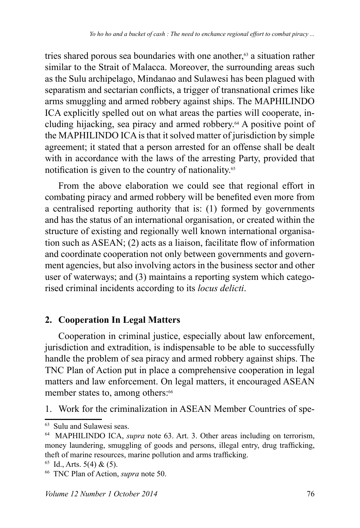tries shared porous sea boundaries with one another, $63$  a situation rather similar to the Strait of Malacca. Moreover, the surrounding areas such as the Sulu archipelago, Mindanao and Sulawesi has been plagued with separatism and sectarian conflicts, a trigger of transnational crimes like arms smuggling and armed robbery against ships. The MAPHILINDO ICA explicitly spelled out on what areas the parties will cooperate, including hijacking, sea piracy and armed robbery.64 A positive point of the MAPHILINDO ICA is that it solved matter of jurisdiction by simple agreement; it stated that a person arrested for an offense shall be dealt with in accordance with the laws of the arresting Party, provided that notification is given to the country of nationality.<sup>65</sup>

From the above elaboration we could see that regional effort in combating piracy and armed robbery will be benefited even more from a centralised reporting authority that is: (1) formed by governments and has the status of an international organisation, or created within the structure of existing and regionally well known international organisation such as  $ASEAN$ ; (2) acts as a liaison, facilitate flow of information and coordinate cooperation not only between governments and government agencies, but also involving actors in the business sector and other user of waterways; and (3) maintains a reporting system which categorised criminal incidents according to its *locus delicti*.

## **2. Cooperation In Legal Matters**

Cooperation in criminal justice, especially about law enforcement, jurisdiction and extradition, is indispensable to be able to successfully handle the problem of sea piracy and armed robbery against ships. The TNC Plan of Action put in place a comprehensive cooperation in legal matters and law enforcement. On legal matters, it encouraged ASEAN member states to, among others:<sup>66</sup>

1. Work for the criminalization in ASEAN Member Countries of spe-

<sup>63</sup> Sulu and Sulawesi seas.

<sup>64</sup> MAPHILINDO ICA, *supra* note 63. Art. 3. Other areas including on terrorism, money laundering, smuggling of goods and persons, illegal entry, drug trafficking, theft of marine resources, marine pollution and arms trafficking.

 $65$  Id., Arts. 5(4) & (5).

<sup>&</sup>lt;sup>66</sup> TNC Plan of Action, *supra* note 50.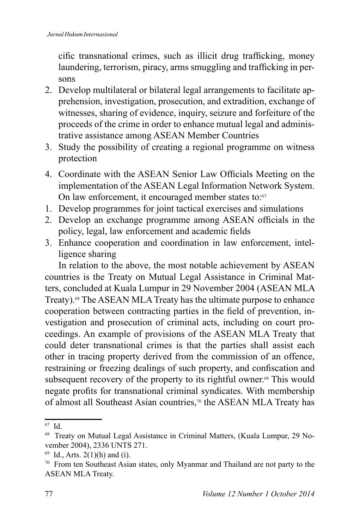cific transnational crimes, such as illicit drug trafficking, money laundering, terrorism, piracy, arms smuggling and trafficking in persons

- 2. Develop multilateral or bilateral legal arrangements to facilitate apprehension, investigation, prosecution, and extradition, exchange of witnesses, sharing of evidence, inquiry, seizure and forfeiture of the proceeds of the crime in order to enhance mutual legal and administrative assistance among ASEAN Member Countries
- 3. Study the possibility of creating a regional programme on witness protection
- 4. Coordinate with the ASEAN Senior Law Officials Meeting on the implementation of the ASEAN Legal Information Network System. On law enforcement, it encouraged member states to:<sup>67</sup>
- 1. Develop programmes for joint tactical exercises and simulations
- 2. Develop an exchange programme among ASEAN officials in the policy, legal, law enforcement and academic fields
- 3. Enhance cooperation and coordination in law enforcement, intelligence sharing

In relation to the above, the most notable achievement by ASEAN countries is the Treaty on Mutual Legal Assistance in Criminal Matters, concluded at Kuala Lumpur in 29 November 2004 (ASEAN MLA Treaty).<sup>68</sup> The ASEAN MLA Treaty has the ultimate purpose to enhance cooperation between contracting parties in the field of prevention, investigation and prosecution of criminal acts, including on court proceedings. An example of provisions of the ASEAN MLA Treaty that could deter transnational crimes is that the parties shall assist each other in tracing property derived from the commission of an offence, restraining or freezing dealings of such property, and confiscation and subsequent recovery of the property to its rightful owner.<sup> $\omega$ </sup> This would negate profits for transnational criminal syndicates. With membership of almost all Southeast Asian countries,<sup>70</sup> the ASEAN MLA Treaty has

<sup>67</sup> Id.

<sup>&</sup>lt;sup>68</sup> Treaty on Mutual Legal Assistance in Criminal Matters, (Kuala Lumpur, 29 November 2004), 2336 UNTS 271.

 $69$  Id., Arts. 2(1)(h) and (i).

<sup>70</sup> From ten Southeast Asian states, only Myanmar and Thailand are not party to the ASEAN MLA Treaty.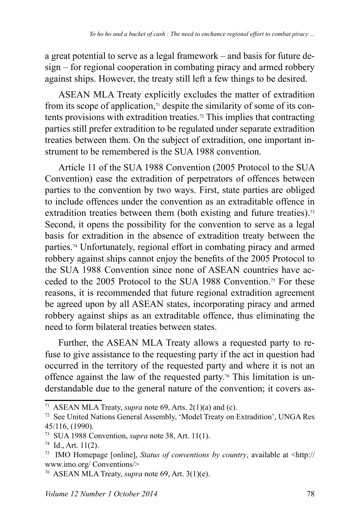a great potential to serve as a legal framework – and basis for future de $sign$  – for regional cooperation in combating piracy and armed robbery against ships. However, the treaty still left a few things to be desired.

ASEAN MLA Treaty explicitly excludes the matter of extradition from its scope of application, $\alpha$ <sup>1</sup> despite the similarity of some of its contents provisions with extradition treaties.<sup>72</sup> This implies that contracting parties still prefer extradition to be regulated under separate extradition treaties between them. On the subject of extradition, one important instrument to be remembered is the SUA 1988 convention.

Article 11 of the SUA 1988 Convention (2005 Protocol to the SUA Convention) ease the extradition of perpetrators of offences between parties to the convention by two ways. First, state parties are obliged to include offences under the convention as an extraditable offence in extradition treaties between them (both existing and future treaties).<sup>73</sup> Second, it opens the possibility for the convention to serve as a legal basis for extradition in the absence of extradition treaty between the parties.74 Unfortunately, regional effort in combating piracy and armed robbery against ships cannot enjoy the benefits of the 2005 Protocol to the SUA 1988 Convention since none of ASEAN countries have acceded to the 2005 Protocol to the SUA 1988 Convention.<sup>75</sup> For these reasons, it is recommended that future regional extradition agreement be agreed upon by all ASEAN states, incorporating piracy and armed robbery against ships as an extraditable offence, thus eliminating the need to form bilateral treaties between states.

Further, the ASEAN MLA Treaty allows a requested party to refuse to give assistance to the requesting party if the act in question had occurred in the territory of the requested party and where it is not an offence against the law of the requested party.76 This limitation is understandable due to the general nature of the convention; it covers as-

<sup>&</sup>lt;sup>71</sup> ASEAN MLA Treaty, *supra* note 69, Arts.  $2(1)(a)$  and (c).

<sup>&</sup>lt;sup>72</sup> See United Nations General Assembly, 'Model Treaty on Extradition', UNGA Res 45/116, (1990).

<sup>73</sup> SUA 1988 Convention, *supra* note 38, Art. 11(1).

 $74$  Id., Art. 11(2).

<sup>&</sup>lt;sup>75</sup> IMO Homepage [online], *Status of conventions by country*, available at <http:// www.imo.org/ Conventions/>

<sup>76</sup> ASEAN MLA Treaty, *supra* note 69, Art. 3(1)(e).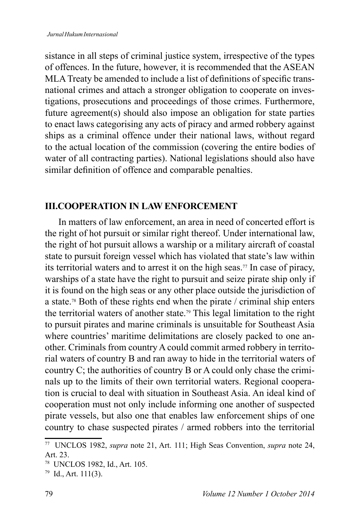sistance in all steps of criminal justice system, irrespective of the types of offences. In the future, however, it is recommended that the ASEAN MLA Treaty be amended to include a list of definitions of specific transnational crimes and attach a stronger obligation to cooperate on investigations, prosecutions and proceedings of those crimes. Furthermore, future agreement(s) should also impose an obligation for state parties to enact laws categorising any acts of piracy and armed robbery against ships as a criminal offence under their national laws, without regard to the actual location of the commission (covering the entire bodies of water of all contracting parties). National legislations should also have similar definition of offence and comparable penalties.

## **III.COOPERATION IN LAW ENFORCEMENT**

In matters of law enforcement, an area in need of concerted effort is the right of hot pursuit or similar right thereof. Under international law, the right of hot pursuit allows a warship or a military aircraft of coastal state to pursuit foreign vessel which has violated that state's law within its territorial waters and to arrest it on the high seas.<sup>77</sup> In case of piracy, warships of a state have the right to pursuit and seize pirate ship only if it is found on the high seas or any other place outside the jurisdiction of a state.78 Both of these rights end when the pirate / criminal ship enters the territorial waters of another state.79 This legal limitation to the right to pursuit pirates and marine criminals is unsuitable for Southeast Asia where countries' maritime delimitations are closely packed to one another. Criminals from country A could commit armed robbery in territorial waters of country B and ran away to hide in the territorial waters of country C; the authorities of country B or A could only chase the criminals up to the limits of their own territorial waters. Regional cooperation is crucial to deal with situation in Southeast Asia. An ideal kind of cooperation must not only include informing one another of suspected pirate vessels, but also one that enables law enforcement ships of one country to chase suspected pirates / armed robbers into the territorial

<sup>&</sup>lt;sup>77</sup> UNCLOS 1982, *supra* note 21, Art. 111; High Seas Convention, *supra* note 24, Art. 23.

<sup>&</sup>lt;sup>78</sup> UNCLOS 1982, Id., Art. 105.

<sup>79</sup> Id., Art. 111(3).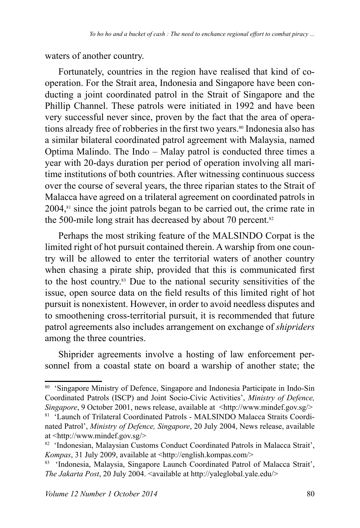waters of another country.

Fortunately, countries in the region have realised that kind of cooperation. For the Strait area, Indonesia and Singapore have been conducting a joint coordinated patrol in the Strait of Singapore and the Phillip Channel. These patrols were initiated in 1992 and have been very successful never since, proven by the fact that the area of operations already free of robberies in the first two years.<sup>80</sup> Indonesia also has a similar bilateral coordinated patrol agreement with Malaysia, named Optima Malindo. The Indo – Malay patrol is conducted three times a year with 20-days duration per period of operation involving all maritime institutions of both countries. After witnessing continuous success over the course of several years, the three riparian states to the Strait of Malacca have agreed on a trilateral agreement on coordinated patrols in  $2004$ , $s<sub>1</sub>$  since the joint patrols began to be carried out, the crime rate in the 500-mile long strait has decreased by about 70 percent.<sup>82</sup>

Perhaps the most striking feature of the MALSINDO Corpat is the limited right of hot pursuit contained therein. A warship from one country will be allowed to enter the territorial waters of another country when chasing a pirate ship, provided that this is communicated first to the host country.83 Due to the national security sensitivities of the issue, open source data on the field results of this limited right of hot pursuit is nonexistent. However, in order to avoid needless disputes and to smoothening cross-territorial pursuit, it is recommended that future patrol agreements also includes arrangement on exchange of *shipriders* among the three countries.

Shiprider agreements involve a hosting of law enforcement personnel from a coastal state on board a warship of another state; the

<sup>80 &#</sup>x27;Singapore Ministry of Defence, Singapore and Indonesia Participate in Indo-Sin Coordinated Patrols (ISCP) and Joint Socio-Civic Activities', *Ministry of Defence, Singapore*, 9 October 2001, news release, available at <http://www.mindef.gov.sg/> 81 'Launch of Trilateral Coordinated Patrols - MALSINDO Malacca Straits Coordi-

nated Patrol', *Ministry of Defence, Singapore*, 20 July 2004, News release, available at  $\langle$ http://www.mindef.gov.sg/ $>$ 

<sup>82 &#</sup>x27;Indonesian, Malaysian Customs Conduct Coordinated Patrols in Malacca Strait', *Kompas*, 31 July 2009, available at <http://english.kompas.com/>

<sup>83 &#</sup>x27;Indonesia, Malaysia, Singapore Launch Coordinated Patrol of Malacca Strait', The Jakarta Post, 20 July 2004. < available at http://yaleglobal.yale.edu/>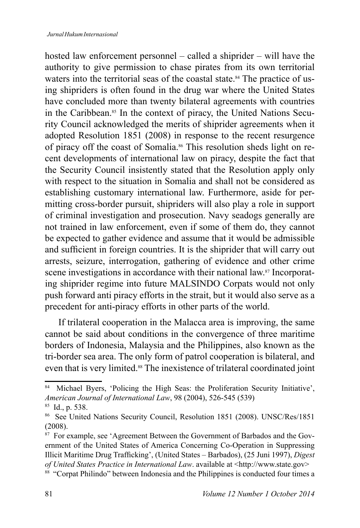hosted law enforcement personnel – called a shiprider – will have the authority to give permission to chase pirates from its own territorial waters into the territorial seas of the coastal state.<sup>84</sup> The practice of using shipriders is often found in the drug war where the United States have concluded more than twenty bilateral agreements with countries in the Caribbean.<sup>85</sup> In the context of piracy, the United Nations Security Council acknowledged the merits of shiprider agreements when it adopted Resolution  $1851$  (2008) in response to the recent resurgence of piracy off the coast of Somalia.86 This resolution sheds light on recent developments of international law on piracy, despite the fact that the Security Council insistently stated that the Resolution apply only with respect to the situation in Somalia and shall not be considered as establishing customary international law. Furthermore, aside for permitting cross-border pursuit, shipriders will also play a role in support of criminal investigation and prosecution. Navy seadogs generally are not trained in law enforcement, even if some of them do, they cannot be expected to gather evidence and assume that it would be admissible and sufficient in foreign countries. It is the shiprider that will carry out arrests, seizure, interrogation, gathering of evidence and other crime scene investigations in accordance with their national law.<sup>87</sup> Incorporating shiprider regime into future MALSINDO Corpats would not only push forward anti piracy efforts in the strait, but it would also serve as a precedent for anti-piracy efforts in other parts of the world.

If trilateral cooperation in the Malacca area is improving, the same cannot be said about conditions in the convergence of three maritime borders of Indonesia, Malaysia and the Philippines, also known as the tri-border sea area. The only form of patrol cooperation is bilateral, and even that is very limited.<sup>88</sup> The inexistence of trilateral coordinated joint

<sup>84</sup> Michael Byers, 'Policing the High Seas: the Proliferation Security Initiative', *American Journal of International Law, 98 (2004), 526-545 (539)* 

<sup>&</sup>lt;sup>85</sup> Id., p. 538.

<sup>&</sup>lt;sup>86</sup> See United Nations Security Council, Resolution 1851 (2008). UNSC/Res/1851  $(2008).$ 

<sup>&</sup>lt;sup>87</sup> For example, see 'Agreement Between the Government of Barbados and the Government of the United States of America Concerning Co-Operation in Suppressing Illicit Maritime Drug Trafficking', (United States - Barbados), (25 Juni 1997), Digest *of United States Practice in International Law.* available at <http://www.state.gov>

<sup>88</sup> "Corpat Philindo" between Indonesia and the Philippines is conducted four times a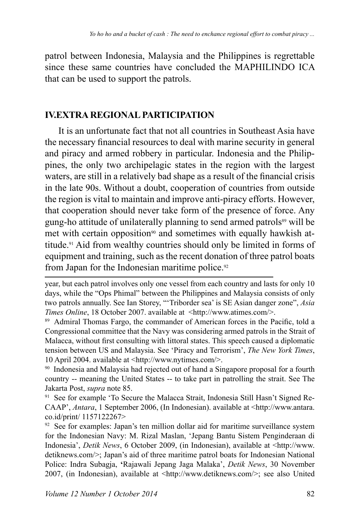patrol between Indonesia, Malaysia and the Philippines is regrettable since these same countries have concluded the MAPHILINDO ICA that can be used to support the patrols.

## **IV.EXTRA REGIONAL PARTICIPATION**

It is an unfortunate fact that not all countries in Southeast Asia have the necessary financial resources to deal with marine security in general and piracy and armed robbery in particular. Indonesia and the Philippines, the only two archipelagic states in the region with the largest waters, are still in a relatively bad shape as a result of the financial crisis in the late 90s. Without a doubt, cooperation of countries from outside the region is vital to maintain and improve anti-piracy efforts. However, that cooperation should never take form of the presence of force. Any gung-ho attitude of unilaterally planning to send armed patrols<sup>89</sup> will be met with certain opposition<sup>90</sup> and sometimes with equally hawkish attitude.91 Aid from wealthy countries should only be limited in forms of equipment and training, such as the recent donation of three patrol boats from Japan for the Indonesian maritime police.

91 See for example 'To Secure the Malacca Strait, Indonesia Still Hasn't Signed Re-CAAP', *Antara*, 1 September 2006, (In Indonesian). available at <http://www.antara. co.id/print/ 1157122267>

 $92$  See for examples: Japan's ten million dollar aid for maritime surveillance system for the Indonesian Navy: M. Rizal Maslan, 'Jepang Bantu Sistem Penginderaan di Indonesia', *Detik News*, 6 October 2009, (in Indonesian), available at <http://www. detiknews.com/>; Japan's aid of three maritime patrol boats for Indonesian National Police: Indra Subagja, **'**Rajawali Jepang Jaga Malaka', *Detik News*, 30 November 2007, (in Indonesian), available at  $\langle \text{http://www.detiknews.com/>}\rangle$ ; see also United

year, but each patrol involves only one vessel from each country and lasts for only 10 days, while the "Ops Phimal" between the Philippines and Malaysia consists of only two patrols annually. See Ian Storey, "'Triborder sea' is SE Asian danger zone", *Asia Times Online*, 18 October 2007. available at <http://www.atimes.com/>.

<sup>89</sup> Admiral Thomas Fargo, the commander of American forces in the Pacific, told a Congressional committee that the Navy was considering armed patrols in the Strait of Malacca, without first consulting with littoral states. This speech caused a diplomatic tension between US and Malaysia. See 'Piracy and Terrorism', *The New York Times*, 10 April 2004. available at  $\langle \frac{http://www.nytimes.com/>}{$ .

<sup>90</sup> Indonesia and Malaysia had rejected out of hand a Singapore proposal for a fourth country -- meaning the United States -- to take part in patrolling the strait. See The Jakarta Post, *supra* note 85.